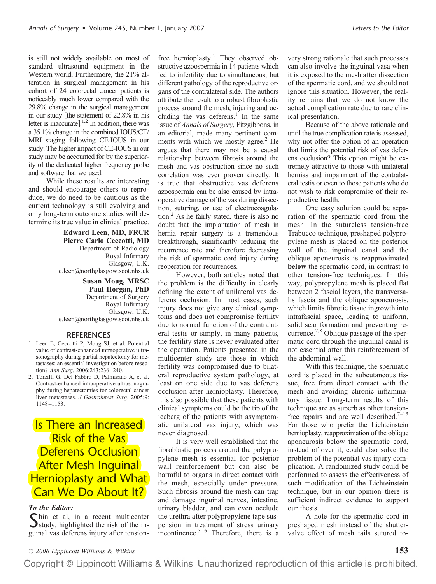is still not widely available on most of standard ultrasound equipment in the Western world. Furthermore, the 21% alteration in surgical management in his cohort of 24 colorectal cancer patients is noticeably much lower compared with the 29.8% change in the surgical management in our study [the statement of 22.8% in his letter is inaccurate]. $1,2$  In addition, there was a 35.1% change in the combined IOUS/CT/ MRI staging following CE-IOUS in our study. The higher impact of CE-IOUS in our study may be accounted for by the superiority of the dedicated higher frequency probe and software that we used.

While these results are interesting and should encourage others to reproduce, we do need to be cautious as the current technology is still evolving and only long-term outcome studies will determine its true value in clinical practice.

> **Edward Leen, MD, FRCR Pierre Carlo Ceccotti, MD** Department of Radiology Royal Infirmary Glasgow, U.K. e.leen@northglasgow.scot.nhs.uk **Susan Moug, MRSC Paul Horgan, PhD** Department of Surgery Royal Infirmary Glasgow, U.K.

> e.leen@northglasgow.scot.nhs.uk

## **REFERENCES**

- 1. Leen E, Ceccotti P, Moug SJ, et al. Potential value of contrast-enhanced intraoperative ultrasonography during partial hepatectomy for metastases: an essential investigation before resection? *Ann Surg*. 2006;243:236 –240.
- 2. Torzilli G, Del Fabbro D, Palmisano A, et al. Contrast-enhanced intraoperative ultrasonography during hepatectomies for colorectal cancer liver metastases. *J Gastrointest Surg*. 2005;9: 1148 –1153.

# Is There an Increased Risk of the Vas Deferens Occlusion After Mesh Inguinal **Hernioplasty and What** Can We Do About It?

### *To the Editor:*

Shin et al, in a recent multicenter<br>study, highlighted the risk of the inguinal vas deferens injury after tension-

free hernioplasty.<sup>1</sup> They observed obstructive azoospermia in 14 patients which led to infertility due to simultaneous, but different pathology of the reproductive organs of the contralateral side. The authors attribute the result to a robust fibroblastic process around the mesh, injuring and occluding the vas deferens.<sup>1</sup> In the same issue of *Annals of Surgery*, Fitzgibbons, in an editorial, made many pertinent comments with which we mostly agree. $<sup>2</sup>$  He</sup> argues that there may not be a causal relationship between fibrosis around the mesh and vas obstruction since no such correlation was ever proven directly. It is true that obstructive vas deferens azoospermia can be also caused by intraoperative damage of the vas during dissection, suturing, or use of electrocoagulation. $<sup>2</sup>$  As he fairly stated, there is also no</sup> doubt that the implantation of mesh in hernia repair surgery is a tremendous breakthrough, significantly reducing the recurrence rate and therefore decreasing the risk of spermatic cord injury during reoperation for recurrences.

However, both articles noted that the problem is the difficulty in clearly defining the extent of unilateral vas deferens occlusion. In most cases, such injury does not give any clinical symptoms and does not compromise fertility due to normal function of the contralateral testis or simply, in many patients, the fertility state is never evaluated after the operation. Patients presented in the multicenter study are those in which fertility was compromised due to bilateral reproductive system pathology, at least on one side due to vas deferens occlusion after hernioplasty. Therefore, it is also possible that these patients with clinical symptoms could be the tip of the iceberg of the patients with asymptomatic unilateral vas injury, which was never diagnosed.

It is very well established that the fibroblastic process around the polypropylene mesh is essential for posterior wall reinforcement but can also be harmful to organs in direct contact with the mesh, especially under pressure. Such fibrosis around the mesh can trap and damage inguinal nerves, intestine, urinary bladder, and can even occlude the urethra after polypropylene tape suspension in treatment of stress urinary incontinence. $3-6$  Therefore, there is a

very strong rationale that such processes can also involve the inguinal vasa when it is exposed to the mesh after dissection of the spermatic cord, and we should not ignore this situation. However, the reality remains that we do not know the actual complication rate due to rare clinical presentation.

Because of the above rationale and until the true complication rate is assessed, why not offer the option of an operation that limits the potential risk of vas deferens occlusion? This option might be extremely attractive to those with unilateral hernias and impairment of the contralateral testis or even to those patients who do not wish to risk compromise of their reproductive health.

One easy solution could be separation of the spermatic cord from the mesh. In the sutureless tension-free Trabucco technique, preshaped polypropylene mesh is placed on the posterior wall of the inguinal canal and the oblique aponeurosis is reapproximated **below** the spermatic cord, in contrast to other tension-free techniques. In this way, polypropylene mesh is placed flat between 2 fascial layers, the transversalis fascia and the oblique aponeurosis, which limits fibrotic tissue ingrowth into intrafascial space, leading to uniform, solid scar formation and preventing recurrence.7,8 Oblique passage of the spermatic cord through the inguinal canal is not essential after this reinforcement of the abdominal wall.

With this technique, the spermatic cord is placed in the subcutaneous tissue, free from direct contact with the mesh and avoiding chronic inflammatory tissue. Long-term results of this technique are as superb as other tensionfree repairs and are well described.<sup>7-13</sup> For those who prefer the Lichteinstein hernioplasty, reapproximation of the oblique aponeurosis below the spermatic cord, instead of over it, could also solve the problem of the potential vas injury complication. A randomized study could be performed to assess the effectiveness of such modification of the Lichteinstein technique, but in our opinion there is sufficient indirect evidence to support our thesis.

A hole for the spermatic cord in preshaped mesh instead of the shuttervalve effect of mesh tails sutured to-

Copyright © Lippincott Williams & Wilkins. Unauthorized reproduction of this article is prohibited.